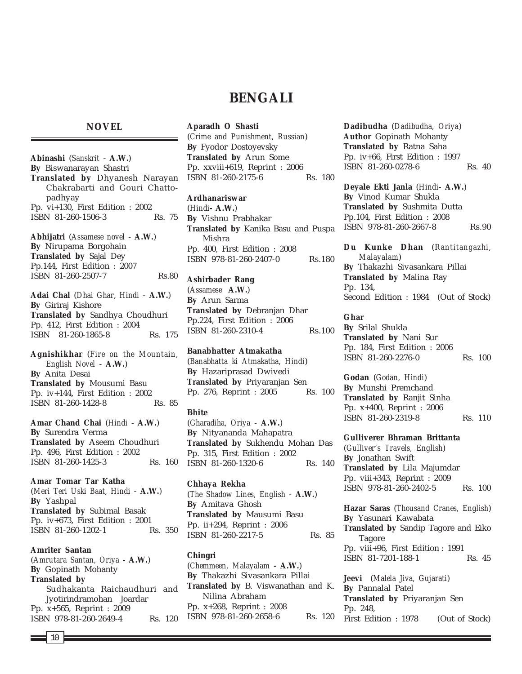# **BENGALI**

## **NOVEL**

**Abinashi** (*Sanskrit* - **A.W.**) **By** Biswanarayan Shastri **Translated by** Dhyanesh Narayan Chakrabarti and Gouri Chattopadhyay Pp. vi+130, First Edition : 2002 ISBN 81-260-1506-3 Rs. 75 **Abhijatri** (*Assamese novel* - **A.W.**) **By** Nirupama Borgohain **Translated by** Sajal Dey Pp.144, First Edition : 2007 ISBN 81-260-2507-7 Rs.80 **Adai Chal** (*Dhai Ghar*, *Hindi* - **A.W.**) **By** Giriraj Kishore **Translated by** Sandhya Choudhuri

Pp. 412, First Edition : 2004 ISBN 81-260-1865-8 Rs. 175 **Agnishikhar** (*Fire on the Mountain,*

*English Novel* - **A.W.**) **By** Anita Desai **Translated by** Mousumi Basu Pp. iv+144, First Edition : 2002 ISBN 81-260-1428-8 Rs. 85

**Amar Chand Chai** (*Hindi* - **A.W.**) **By** Surendra Verma **Translated by** Aseem Choudhuri Pp. 496, First Edition : 2002 ISBN 81-260-1425-3 Rs. 160

**Amar Tomar Tar Katha** (*Meri Teri Uski Baat, Hindi* - **A.W.**) **By** Yashpal **Translated by** Subimal Basak Pp. iv+673, First Edition : 2001 ISBN 81-260-1202-1 Rs. 350

**Amriter Santan** (*Amrutara Santan, Oriya* **- A.W.**) **By** Gopinath Mohanty **Translated by** Sudhakanta Raichaudhuri and Jyotirindramohan Joardar Pp. x+565, Reprint : 2009 ISBN 978-81-260-2649-4 Rs. 120

## **Aparadh O Shasti**

(*Crime and Punishment, Russian*) **By** Fyodor Dostoyevsky **Translated by** Arun Some Pp. xxviii+619, Reprint : 2006 ISBN 81-260-2175-6 Rs. 180

#### **Ardhanariswar**

(*Hindi***- A.W.**) **By** Vishnu Prabhakar **Translated by** Kanika Basu and Puspa Mishra Pp. 400, First Edition : 2008 ISBN 978-81-260-2407-0 Rs.180

**Ashirbader Rang** (*Assamese* **A.W.**) **By** Arun Sarma **Translated by** Debranjan Dhar Pp.224, First Edition : 2006 ISBN 81-260-2310-4 Rs.100

**Banabhatter Atmakatha** (*Banabhatta ki Atmakatha, Hindi*) **By** Hazariprasad Dwivedi **Translated by** Priyaranjan Sen Pp. 276, Reprint : 2005 Rs. 100

#### **Bhite**

(*Gharadiha, Oriya* - **A.W.**) **By** Nityananda Mahapatra **Translated by** Sukhendu Mohan Das Pp. 315, First Edition : 2002 ISBN 81-260-1320-6 Rs. 140

**Chhaya Rekha** (*The Shadow Lines, English* - **A.W.**) **By** Amitava Ghosh **Translated by** Mausumi Basu Pp. ii+294, Reprint : 2006 ISBN 81-260-2217-5 Rs. 85

### **Chingri**

(*Chemmeen, Malayalam* **- A.W.**) **By** Thakazhi Sivasankara Pillai **Translated by** B. Viswanathan and K. Nilina Abraham Pp. x+268, Reprint : 2008 ISBN 978-81-260-2658-6 Rs. 120 **Dadibudha** (*Dadibudha, Oriya*) **Author** Gopinath Mohanty **Translated by** Ratna Saha Pp. iv+66, First Edition : 1997 ISBN 81-260-0278-6 Rs. 40

**Deyale Ekti Janla** (*Hindi***- A.W.**) **By** Vinod Kumar Shukla **Translated by** Sushmita Dutta Pp.104, First Edition : 2008 ISBN 978-81-260-2667-8 Rs.90

**Du Kunke Dhan** (*Rantitangazhi, Malayalam*) **By** Thakazhi Sivasankara Pillai **Translated by** Malina Ray Pp. 134, Second Edition : 1984 (Out of Stock)

**Ghar By** Srilal Shukla **Translated by** Nani Sur Pp. 184, First Edition : 2006 ISBN 81-260-2276-0 Rs. 100

**Godan** (*Godan, Hindi*) **By** Munshi Premchand **Translated by** Ranjit Sinha Pp. x+400, Reprint : 2006 ISBN 81-260-2319-8 Rs. 110

**Gulliverer Bhraman Brittanta** (*Gulliver's Travels, English*) **By** Jonathan Swift **Translated by** Lila Majumdar Pp. viii+343, Reprint : 2009 ISBN 978-81-260-2402-5 Rs. 100

**Hazar Saras** (*Thousand Cranes, English*) **By** Yasunari Kawabata **Translated by** Sandip Tagore and Eiko Tagore Pp. viii+96, First Edition : 1991 ISBN 81-7201-188-1 Rs. 45

**Jeevi** (*Malela Jiva, Gujarati*) **By** Pannalal Patel **Translated by** Priyaranjan Sen Pp. 248, First Edition : 1978 (Out of Stock)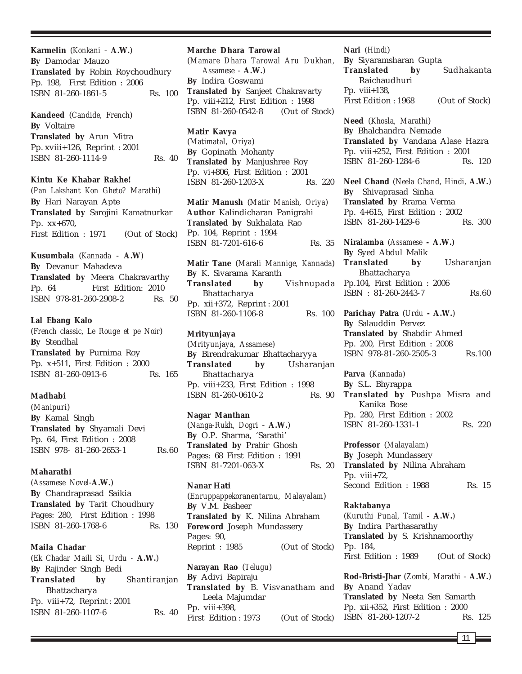**Karmelin** (*Konkani* - **A.W.**) **By** Damodar Mauzo **Translated by** Robin Roychoudhury Pp. 198, First Edition : 2006 ISBN 81-260-1861-5 Rs. 100

**Kandeed** (*Candide, French*) **By** Voltaire **Translated by** Arun Mitra Pp. xviii+126, Reprint : 2001 ISBN 81-260-1114-9 Rs. 40

**Kintu Ke Khabar Rakhe!** (*Pan Lakshant Kon Gheto? Marathi*) **By** Hari Narayan Apte **Translated by** Sarojini Kamatnurkar Pp. xx+670, First Edition : 1971 (Out of Stock)

**Kusumbala** (*Kannada* - **A.W**) **By** Devanur Mahadeva **Translated by** Meera Chakravarthy Pp. 64 First Edition: 2010 ISBN 978-81-260-2908-2 Rs. 50

### **Lal Ebang Kalo**

(*French classic, Le Rouge et pe Noir*) **By** Stendhal **Translated by** Purnima Roy Pp. x+511, First Edition : 2000 ISBN 81-260-0913-6 Rs. 165

#### **Madhabi**

(*Manipuri*) **By** Kamal Singh **Translated by** Shyamali Devi Pp. 64, First Edition : 2008 ISBN 978-81-260-2653-1 Rs.60

## **Maharathi**

(*Assamese Novel-***A.W.**) **By** Chandraprasad Saikia **Translated by** Tarit Choudhury Pages: 280, First Edition : 1998 ISBN 81-260-1768-6 Rs. 130

## **Maila Chadar**

(*Ek Chadar Maili Si, Urdu -* **A.W.**) **By** Rajinder Singh Bedi **Translated by** Shantiranjan Bhattacharya Pp. viii+72, Reprint : 2001 ISBN 81-260-1107-6 Rs. 40

#### **Marche Dhara Tarowal**

(*Mamare Dhara Tarowal Aru Dukhan, Assamese* - **A.W.**) **By** Indira Goswami **Translated by** Sanjeet Chakravarty Pp. viii+212, First Edition : 1998 ISBN 81-260-0542-8 (Out of Stock)

**Matir Kavya** (*Matimatal, Oriya*) **By** Gopinath Mohanty **Translated by** Manjushree Roy Pp. vi+806, First Edition : 2001 ISBN 81-260-1203-X Rs. 220

**Matir Manush** (*Matir Manish, Oriya*) **Author** Kalindicharan Panigrahi **Translated by** Sukhalata Rao Pp. 104, Reprint : 1994 ISBN 81-7201-616-6 Rs. 35

**Matir Tane** (*Marali Mannige, Kannada*) **By** K. Sivarama Karanth **Translated by** Vishnupada Bhattacharya Pp. xii+372, Reprint : 2001 ISBN 81-260-1106-8 Rs. 100

#### **Mrityunjaya**

(*Mrityunjaya, Assamese*) **By** Birendrakumar Bhattacharyya **Translated by** Usharanjan Bhattacharya Pp. viii+233, First Edition : 1998 ISBN 81-260-0610-2 Rs. 90

#### **Nagar Manthan**

(*Nanga-Rukh, Dogri* - **A.W.**) **By** O.P. Sharma, 'Sarathi' **Translated by** Prabir Ghosh Pages: 68 First Edition : 1991 ISBN 81-7201-063-X Rs. 20

**Nanar Hati**

(*Enruppappekoranentarnu, Malayalam*) **By** V.M. Basheer **Translated by** K. Nilina Abraham **Foreword** Joseph Mundassery Pages: 90, Reprint : 1985 (Out of Stock)

**Narayan Rao** (*Telugu*) **By** Adivi Bapiraju **Translated by** B. Visvanatham and Leela Majumdar Pp. viii+398, First Edition : 1973 (Out of Stock)

**Nari** (*Hindi*) **By** Siyaramsharan Gupta **Translated by** Sudhakanta Raichaudhuri Pp. viii+138, First Edition : 1968 (Out of Stock)

**Need** (*Khosla, Marathi*) **By** Bhalchandra Nemade **Translated by** Vandana Alase Hazra Pp. viii+252, First Edition : 2001 ISBN 81-260-1284-6 Rs. 120

**Neel Chand** (*Neela Chand, Hindi,* **A.W.**) **By** Shivaprasad Sinha **Translated by** Rrama Verma Pp. 4+615, First Edition : 2002 ISBN 81-260-1429-6 Rs. 300

**Niralamba** (*Assamese* **- A.W.**) **By** Syed Abdul Malik **Translated by** Usharanjan Bhattacharya Pp.104, First Edition : 2006 ISBN : 81-260-2443-7 Rs.60

**Parichay Patra** (*Urdu* **- A.W.**) **By** Salauddin Pervez **Translated by** Shabdir Ahmed Pp. 200, First Edition : 2008 ISBN 978-81-260-2505-3 Rs.100

**Parva** (*Kannada*) **By** S.L. Bhyrappa **Translated by** Pushpa Misra and Kanika Bose Pp. 280, First Edition : 2002 ISBN 81-260-1331-1 Rs. 220

**Professor** (*Malayalam*) **By** Joseph Mundassery **Translated by** Nilina Abraham Pp. viii+72, Second Edition : 1988 Rs. 15

### **Raktabanya**

(*Kuruthi Punal, Tamil* **- A.W.**) **By** Indira Parthasarathy **Translated by** S. Krishnamoorthy Pp. 184, First Edition : 1989 (Out of Stock)

**Rod-Bristi-Jhar** (*Zombi, Marathi* - **A.W.**) **By** Anand Yadav **Translated by** Neeta Sen Samarth Pp. xii+352, First Edition : 2000 ISBN 81-260-1207-2 Rs. 125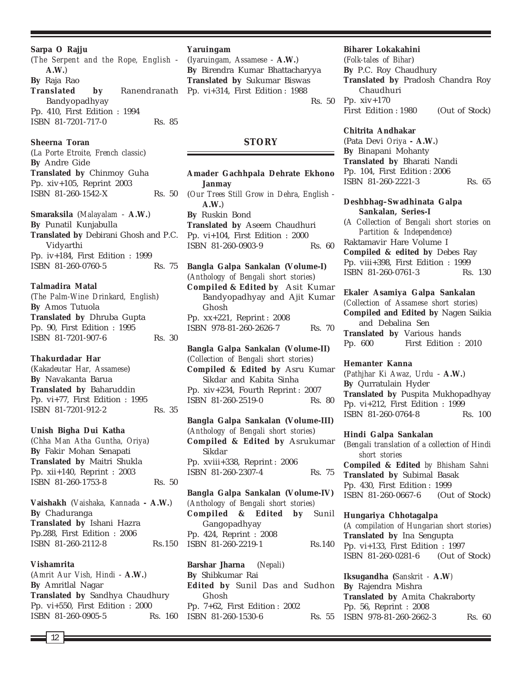**Sarpa O Rajju**

(*The Serpent and the Rope, English* - **A.W.**) **By** Raja Rao **Translated by** Ranendranath Pp. vi+314, First Edition : 1988 Bandyopadhyay Pp. 410, First Edition : 1994 ISBN 81-7201-717-0 Rs. 85

**Sheerna Toran** (*La Porte Etroite, French classic*) **By** Andre Gide **Translated by** Chinmoy Guha Pp. xiv+105, Reprint 2003 ISBN 81-260-1542-X Rs. 50

**Smaraksila** (*Malayalam* - **A.W.**) **By** Punatil Kunjabulla **Translated by** Debirani Ghosh and P.C. Vidyarthi Pp. iv+184, First Edition : 1999 ISBN 81-260-0760-5 Rs. 75

**Talmadira Matal** (*The Palm-Wine Drinkard, English*) **By** Amos Tutuola **Translated by** Dhruba Gupta Pp. 90, First Edition : 1995 ISBN 81-7201-907-6 Rs. 30

**Thakurdadar Har** (*Kakadeutar Har, Assamese*) **By** Navakanta Barua **Translated by** Baharuddin Pp. vi+77, First Edition : 1995 ISBN 81-7201-912-2 Rs. 35

**Unish Bigha Dui Katha** (*Chha Man Atha Guntha, Oriya*) **By** Fakir Mohan Senapati **Translated by** Maitri Shukla Pp. xii+140, Reprint : 2003 ISBN 81-260-1753-8 Rs. 50

**Vaishakh** (*Vaishaka, Kannada* **- A.W.**) **By** Chaduranga **Translated by** Ishani Hazra Pp.288, First Edition : 2006 ISBN 81-260-2112-8 Rs.150

## **Vishamrita**

(*Amrit Aur Vish, Hindi* - **A.W.**) **By** Amritlal Nagar **Translated by** Sandhya Chaudhury Pp. vi+550, First Edition : 2000 ISBN 81-260-0905-5 Rs. 160

#### **Yaruingam**

(*Iyaruingam, Assamese* - **A.W.**) **By** Birendra Kumar Bhattacharyya **Translated by** Sukumar Biswas Rs. 50

## **STORY**

**Amader Gachhpala Dehrate Ekhono Janmay** (*Our Trees Still Grow in Dehra, English* - **A.W.**) **By** Ruskin Bond **Translated by** Aseem Chaudhuri Pp. vi+104, First Edition : 2000 ISBN 81-260-0903-9 Rs. 60

**Bangla Galpa Sankalan (Volume-I)** (*Anthology of Bengali short stories*) **Compiled & Edited by** Asit Kumar Bandyopadhyay and Ajit Kumar Ghosh Pp. xx+221, Reprint : 2008 ISBN 978-81-260-2626-7 Rs. 70

**Bangla Galpa Sankalan (Volume-II)** (*Collection of Bengali short stories*) **Compiled & Edited by** Asru Kumar Sikdar and Kabita Sinha Pp. xiv+234, Fourth Reprint : 2007 ISBN 81-260-2519-0 Rs. 80

**Bangla Galpa Sankalan (Volume-III)** (*Anthology of Bengali short stories*) **Compiled & Edited by** Asrukumar Sikdar Pp. xviii+338, Reprint : 2006 ISBN 81-260-2307-4 Rs. 75

**Bangla Galpa Sankalan (Volume-IV)** *(Anthology of Bengali short stories)* **Compiled & Edited by** Sunil Gangopadhyay Pp. 424, Reprint : 2008 ISBN 81-260-2219-1 Rs.140

**Barshar Jharna** (*Nepali*) **By** Shibkumar Rai **Edited by** Sunil Das and Sudhon Ghosh Pp. 7+62, First Edition : 2002 ISBN 81-260-1530-6

#### **Biharer Lokakahini**

(*Folk-tales of Bihar*) **By** P.C. Roy Chaudhury **Translated by** Pradosh Chandra Roy Chaudhuri Pp. xiv+170 First Edition : 1980 (Out of Stock)

## **Chitrita Andhakar**

(Pata Devi *Oriya* **- A.W.**) **By** Binapani Mohanty **Translated by** Bharati Nandi Pp. 104, First Edition : 2006 ISBN 81-260-2221-3 Rs. 65

## **Deshbhag–Swadhinata Galpa Sankalan, Series-I**

(*A Collection of Bengali short stories on Partition & Independence*) Raktamavir Hare Volume I **Compiled & edited by** Debes Ray Pp. viii+398, First Edition : 1999 ISBN 81-260-0761-3 Rs. 130

**Ekaler Asamiya Galpa Sankalan** *(Collection of Assamese short stories)* **Compiled and Edited by** Nagen Saikia and Debalina Sen **Translated by** Various hands Pp. 600 First Edition : 2010

#### **Hemanter Kanna**

(*Pathjhar Ki Awaz, Urdu* - **A.W.**) **By** Qurratulain Hyder **Translated by** Puspita Mukhopadhyay Pp. vi+212, First Edition : 1999 ISBN 81-260-0764-8 Rs. 100

### **Hindi Galpa Sankalan**

(*Bengali translation of a collection of Hindi short stories* **Compiled & Edited** *by Bhisham Sahni* **Translated by** Subimal Basak Pp. 430, First Edition : 1999 ISBN 81-260-0667-6 (Out of Stock)

## **Hungariya Chhotagalpa** (*A compilation of Hungarian short stories*)

**Translated by** Ina Sengupta Pp. vi+133, First Edition : 1997 ISBN 81-260-0281-6 (Out of Stock)

**Iksugandha (***Sanskrit -* **A.W***)* **By** Rajendra Mishra **Translated by** Amita Chakraborty Pp. 56, Reprint : 2008 Rs. 55 ISBN 978-81-260-2662-3 Rs. 60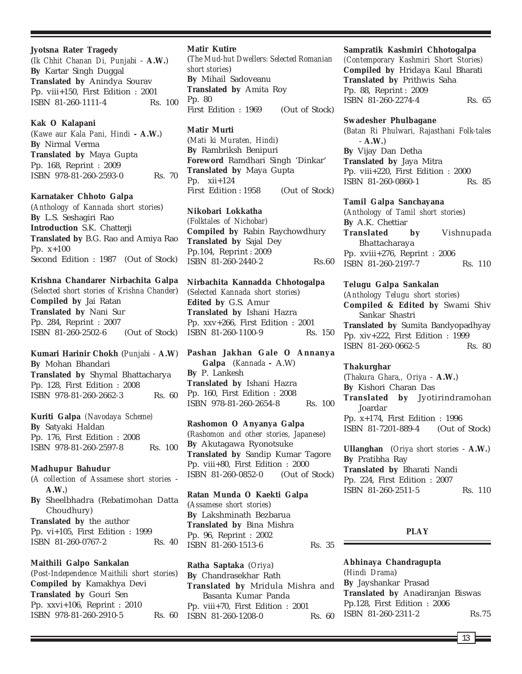## **Jyotsna Rater Tragedy**

(*Ik Chhit Chanan Di, Punjabi* - **A.W.**) **By** Kartar Singh Duggal **Translated by** Anindya Sourav Pp. viii+150, First Edition : 2001 ISBN 81-260-1111-4 Rs. 100

### **Kak O Kalapani**

(*Kawe aur Kala Pani, Hindi* **- A.W.**) **By** Nirmal Verma **Translated by** Maya Gupta Pp. 168, Reprint : 2009 ISBN 978-81-260-2593-0 Rs. 70

## **Karnataker Chhoto Galpa**

(*Anthology of Kannada short stories*) **By** L.S. Seshagiri Rao **Introduction** S.K. Chatterji **Translated by** B.G. Rao and Amiya Rao Pp. x+100 Second Edition : 1987 (Out of Stock)

## **Krishna Chandarer Nirbachita Galpa**

(*Selected short stories of Krishna Chander*) **Compiled by** Jai Ratan **Translated by** Nani Sur Pp. 284, Reprint : 2007 ISBN 81-260-2502-6 (Out of Stock)

**Kumari Harinir Chokh** (*Punjabi -* **A.W**) **By** Mohan Bhandari **Translated by** Shymal Bhattacharya Pp. 128, First Edition : 2008 ISBN 978-81-260-2662-3 Rs. 60

**Kuriti Galpa** *(Navodaya Scheme)* **By** Satyaki Haldan Pp. 176, First Edition : 2008 ISBN 978-81-260-2597-8 Rs. 100

## **Madhupur Bahudur**

(*A collection of Assamese short stories* - **A.W.**) **By** Sheelbhadra (Rebatimohan Datta Choudhury) **Translated by** the author Pp. vi+105, First Edition : 1999 ISBN 81-260-0767-2 Rs. 40

**Maithili Galpo Sankalan** (*Post-Independence Maithili short stories*) **Compiled by** Kamakhya Devi **Translated by** Gouri Sen Pp. xxvi+106, Reprint : 2010 ISBN 978-81-260-2910-5 Rs. 60

## **Matir Kutire**

(*The Mud-hut Dwellers: Selected Romanian short stories*) **By** Mihail Sadoveanu **Translated by** Amita Roy Pp. 80 First Edition : 1969 (Out of Stock)

## **Matir Murti**

(*Mati ki Muraten, Hindi*) **By** Rambriksh Benipuri **Foreword** Ramdhari Singh 'Dinkar' **Translated by** Maya Gupta Pp. xii+124 First Edition : 1958 (Out of Stock)

**Nikobari Lokkatha** *(Folktales of Nichobar)* **Compiled by** Rabin Raychowdhury **Translated by** Sajal Dey Pp.104, Reprint : 2009 ISBN 81-260-2440-2 Rs.60

**Nirbachita Kannadda Chhotogalpa** (*Selected Kannada short stories*) **Edited by** G.S. Amur **Translated by** Ishani Hazra Pp. xxv+266, First Edition : 2001 ISBN 81-260-1100-9 Rs. 150

**Pashan Jakhan Gale O Annanya Galpa** (*Kannada -* A.W) **By** P. Lankesh **Translated by** Ishani Hazra Pp. 160, First Edition : 2008 ISBN 978-81-260-2654-8 Rs. 100

**Rashomon O Anyanya Galpa** (*Rashomon and other stories, Japanese*) **By** Akutagawa Ryonotsuke **Translated by** Sandip Kumar Tagore Pp. viii+80, First Edition : 2000 ISBN 81-260-0852-0 (Out of Stock)

**Ratan Munda O Kaekti Galpa** (*Assamese short stories*) **By** Lakshminath Bezbarua **Translated by** Bina Mishra Pp. 96, Reprint : 2002 ISBN 81-260-1513-6 Rs. 35

**Ratha Saptaka** (*Oriya*) **By** Chandrasekhar Rath **Translated by** Mridula Mishra and Basanta Kumar Panda Pp. viii+70, First Edition : 2001 ISBN 81-260-1208-0 Rs. 60

## **Sampratik Kashmiri Chhotogalpa**

*(Contemporary Kashmiri Short Stories)* **Compiled by** Hridaya Kaul Bharati **Translated by** Prithwis Saha Pp. 88, Reprint : 2009 ISBN 81-260-2274-4 Rs. 65

#### **Swadesher Phulbagane**

(*Batan Ri Phulwari, Rajasthani Folk-tales* - **A.W.**) **By** Vijay Dan Detha **Translated by** Jaya Mitra Pp. viii+220, First Edition : 2000 ISBN 81-260-0860-1 Rs. 85

### **Tamil Galpa Sanchayana**

(*Anthology of Tamil short stories*) **By** A.K. Chettiar **Translated by** Vishnupada Bhattacharaya Pp. xviii+276, Reprint : 2006 ISBN 81-260-2197-7 Rs. 110

**Telugu Galpa Sankalan** (*Anthology Telugu short stories*) **Compiled & Edited by** Swami Shiv Sankar Shastri **Translated by** Sumita Bandyopadhyay Pp. xiv+222, First Edition : 1999 ISBN 81-260-0662-5 Rs. 80

### **Thakurghar**

(*Thakura Ghara,, Oriya* - **A.W.**) **By** Kishori Charan Das **Translated by** Jyotirindramohan Joardar Pp. x+174, First Edition : 1996 ISBN 81-7201-889-4 (Out of Stock)

**Ullanghan** (*Oriya short stories* - **A.W.**) **By** Pratibha Ray **Translated by** Bharati Nandi Pp. 224, First Edition : 2007 ISBN 81-260-2511-5 Rs. 110

#### **PLAY**

**Abhinaya Chandragupta** (*Hindi Drama*) **By** Jayshankar Prasad **Translated by** Anadiranjan Biswas Pp.128, First Edition : 2006 ISBN 81-260-2311-2 Rs.75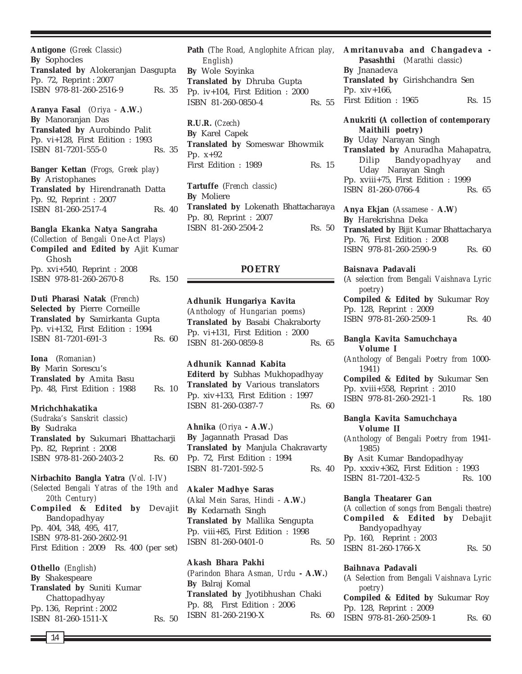**Antigone** (*Greek Classic*) **By** Sophocles **Translated by** Alokeranjan Dasgupta Pp. 72, Reprint : 2007 ISBN 978-81-260-2516-9 Rs. 35

**Aranya Fasal** (*Oriya* - **A.W.**) **By** Manoranjan Das **Translated by** Aurobindo Palit Pp. vi+128, First Edition : 1993 ISBN 81-7201-555-0 Rs. 35

**Banger Kettan** (*Frogs, Greek play*) **By** Aristophanes **Translated by** Hirendranath Datta Pp. 92, Reprint : 2007 ISBN 81-260-2517-4 Rs. 40

## **Bangla Ekanka Natya Sangraha**

(*Collection of Bengali One-Act Plays*) **Compiled and Edited by** Ajit Kumar Ghosh Pp. xvi+540, Reprint : 2008 ISBN 978-81-260-2670-8 Rs. 150

**Duti Pharasi Natak** (*French*) **Selected by** Pierre Corneille **Translated by** Samirkanta Gupta Pp. vi+132, First Edition : 1994 ISBN 81-7201-691-3 Rs. 60

**Iona** (*Romanian*) **By** Marin Sorescu's **Translated by** Amita Basu Pp. 48, First Edition : 1988 Rs. 10

## **Mrichchhakatika**

(*Sudraka's Sanskrit classic*) **By** Sudraka **Translated by** Sukumari Bhattacharji Pp. 82, Reprint : 2008 ISBN 978-81-260-2403-2 Rs. 60

## **Nirbachito Bangla Yatra** (*Vol. I-IV*)

*(Selected Bengali Yatras of the 19th and 20th Century)* **Compiled & Edited by** Devajit Bandopadhyay Pp. 404, 348, 495, 417, ISBN 978-81-260-2602-91 First Edition : 2009 Rs. 400 (per set)

**Othello** (*English*) **By** Shakespeare **Translated by** Suniti Kumar Chattopadhyay Pp. 136, Reprint : 2002 ISBN 81-260-1511-X Rs. 50

**Path** (*The Road, Anglophite African play, English*) **By** Wole Soyinka **Translated by** Dhruba Gupta Pp. iv+104, First Edition : 2000 ISBN 81-260-0850-4 Rs. 55

**R.U.R.** (*Czech*) **By** Karel Capek **Translated by** Someswar Bhowmik Pp. x+92 First Edition : 1989 Rs. 15

**Tartuffe** (*French classic*) **By** Moliere **Translated by** Lokenath Bhattacharaya Pp. 80, Reprint : 2007 ISBN 81-260-2504-2 Rs. 50

## **POETRY**

**Adhunik Hungariya Kavita** (*Anthology of Hungarian poems*) **Translated by** Basabi Chakraborty Pp. vi+131, First Edition : 2000 ISBN 81-260-0859-8 Rs. 65

**Adhunik Kannad Kabita Editerd by** Subhas Mukhopadhyay **Translated by** Various translators Pp. xiv+133, First Edition : 1997 ISBN 81-260-0387-7 Rs. 60

**Ahnika** (*Oriya* **- A.W.**) **By** Jagannath Prasad Das **Translated by** Manjula Chakravarty Pp. 72, First Edition : 1994 ISBN 81-7201-592-5 Rs. 40

**Akaler Madhye Saras** (*Akal Mein Saras, Hindi* - **A.W.**) **By** Kedarnath Singh **Translated by** Mallika Sengupta Pp. viii+85, First Edition : 1998 ISBN 81-260-0401-0 Rs. 50

**Akash Bhara Pakhi** (*Parindon Bhara Asman, Urdu* **- A.W.**) **By** Balraj Komal **Translated by** Jyotibhushan Chaki Pp. 88, First Edition : 2006 ISBN 81-260-2190-X Rs. 60 **Amritanuvaba and Changadeva - Pasashthi** (*Marathi classic*) **By** Jnanadeva **Translated by** Girishchandra Sen Pp. xiv+166, First Edition : 1965 Rs. 15

## **Anukriti (***A collection of contemporary Maithili poetry***)**

**By** Uday Narayan Singh **Translated by** Anuradha Mahapatra, Dilip Bandyopadhyay and Uday Narayan Singh Pp. xviii+75, First Edition : 1999 ISBN 81-260-0766-4 Rs. 65

**Anya Ekjan** (*Assamese -* **A.W**) **By** Harekrishna Deka **Translated by** Bijit Kumar Bhattacharya Pp. 76, First Edition : 2008 ISBN 978-81-260-2590-9 Rs. 60

**Baisnava Padavali**

(*A selection from Bengali Vaishnava Lyric poetry*) **Compiled & Edited by** Sukumar Roy Pp. 128, Reprint : 2009 ISBN 978-81-260-2509-1 Rs. 40

**Bangla Kavita Samuchchaya Volume I**

(*Anthology of Bengali Poetry from* 1000- 1941)

**Compiled & Edited by** Sukumar Sen Pp. xviii+558, Reprint : 2010 ISBN 978-81-260-2921-1 Rs. 180

## **Bangla Kavita Samuchchaya Volume II**

(*Anthology of Bengali Poetry from* 1941- 1985)

**By** Asit Kumar Bandopadhyay Pp. xxxiv+362, First Edition : 1993 ISBN 81-7201-432-5 Rs. 100

## **Bangla Theatarer Gan**

(*A collection of songs from Bengali theatre*) **Compiled & Edited by** Debajit Bandyopadhyay Pp. 160, Reprint : 2003 ISBN 81-260-1766-X Rs. 50

### **Baihnava Padavali**

(*A Selection from Bengali Vaishnava Lyric poetry*) **Compiled & Edited by** Sukumar Roy Pp. 128, Reprint : 2009 ISBN 978-81-260-2509-1 Rs. 60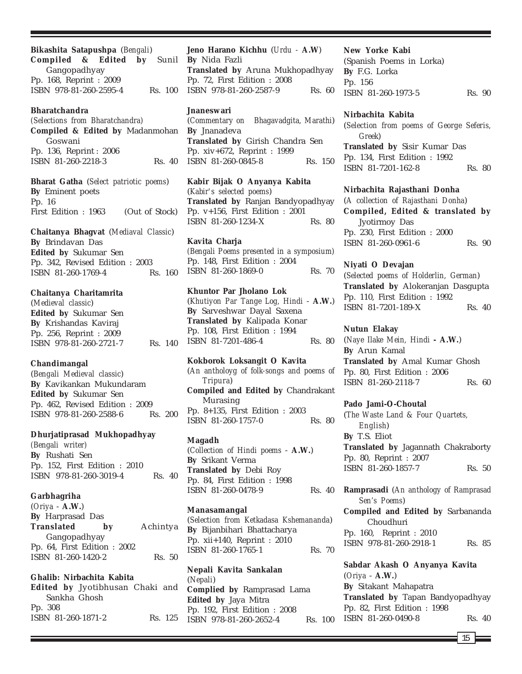**Bikashita Satapushpa** (*Bengali*) **Compiled & Edited by** Sunil Gangopadhyay Pp. 168, Reprint : 2009 ISBN 978-81-260-2595-4 Rs. 100

## **Bharatchandra**

*(Selections from Bharatchandra)* **Compiled & Edited by** Madanmohan Goswani Pp. 136, Reprint : 2006 ISBN 81-260-2218-3 Rs. 40

**Bharat Gatha** (*Select patriotic poems*) **By** Eminent poets Pp. 16 First Edition : 1963 (Out of Stock)

**Chaitanya Bhagvat** (*Mediaval Classic*) **By** Brindavan Das **Edited by** Sukumar Sen Pp. 342, Revised Edition : 2003 ISBN 81-260-1769-4 Rs. 160

**Chaitanya Charitamrita** (*Medieval classic*)

**Edited by** Sukumar Sen **By** Krishandas Kaviraj Pp. 256, Reprint : 2009 ISBN 978-81-260-2721-7 Rs. 140

## **Chandimangal**

(*Bengali Medieval classic*) **By** Kavikankan Mukundaram **Edited by** Sukumar Sen Pp. 462, Revised Edition : 2009 ISBN 978-81-260-2588-6 Rs. 200

## **Dhurjatiprasad Mukhopadhyay**

*(Bengali writer)* **By** Rushati Sen Pp. 152, First Edition : 2010 ISBN 978-81-260-3019-4 Rs. 40

**Garbhagriha** (*Oriya* - **A.W.**) **By** Harprasad Das **Translated by** Achintya Gangopadhyay Pp. 64, First Edition : 2002 ISBN 81-260-1420-2 Rs. 50

## **Ghalib: Nirbachita Kabita**

**Edited by** Jyotibhusan Chaki and Sankha Ghosh Pp. 308 ISBN 81-260-1871-2 Rs. 125

**Jeno Harano Kichhu** (*Urdu -* **A.W**) **By** Nida Fazli **Translated by** Aruna Mukhopadhyay Pp. 72, First Edition : 2008 ISBN 978-81-260-2587-9 Rs. 60

## **Jnaneswari**

(*Commentary on Bhagavadgita, Marathi*) **By** Jnanadeva **Translated by** Girish Chandra Sen Pp. xiv+672, Reprint : 1999 ISBN 81-260-0845-8 Rs. 150

**Kabir Bijak O Anyanya Kabita** (*Kabir's selected poems*) **Translated by** Ranjan Bandyopadhyay Pp. v+156, First Edition : 2001 ISBN 81-260-1234-X Rs. 80

**Kavita Charja** *(Bengali Poems presented in a symposium)* Pp. 148, First Edition : 2004 ISBN 81-260-1869-0 Rs. 70

**Khuntor Par Jholano Lok** (*Khutiyon Par Tange Log, Hindi* - **A.W.**) **By** Sarveshwar Dayal Saxena **Translated by** Kalipada Konar Pp. 108, First Edition : 1994 ISBN 81-7201-486-4 Rs. 80

**Kokborok Loksangit O Kavita** (*An antholoyg of folk-songs and poems of Tripura*) **Compiled and Edited by** Chandrakant Murasing Pp. 8+135, First Edition : 2003 ISBN 81-260-1757-0 Rs. 80

**Magadh**

(*Collection of Hindi poems* - **A.W.**) **By** Srikant Verma **Translated by** Debi Roy Pp. 84, First Edition : 1998 ISBN 81-260-0478-9 Rs. 40

**Manasamangal**

(*Selection from Ketkadasa Kshemananda*) **By** Bijanbihari Bhattacharya Pp. xii+140, Reprint : 2010 ISBN 81-260-1765-1 Rs. 70

**Nepali Kavita Sankalan** (*Nepali*) **Complied by** Ramprasad Lama **Edited by** Jaya Mitra Pp. 192, First Edition : 2008 ISBN 978-81-260-2652-4 Rs. 100

#### **New Yorke Kabi**

(Spanish Poems in Lorka) **By** F.G. Lorka Pp. 156 ISBN 81-260-1973-5 Rs. 90

### **Nirbachita Kabita**

(*Selection from poems of George Seferis, Greek*) **Translated by** Sisir Kumar Das Pp. 134, First Edition : 1992 ISBN 81-7201-162-8 Rs. 80

## **Nirbachita Rajasthani Donha**

(*A collection of Rajasthani Donha*) **Compiled, Edited & translated by** Jyotirmoy Das Pp. 230, First Edition : 2000 ISBN 81-260-0961-6 Rs. 90

#### **Niyati O Devajan**

(*Selected poems of Holderlin, German*) **Translated by** Alokeranjan Dasgupta Pp. 110, First Edition : 1992 ISBN 81-7201-189-X Rs. 40

## **Nutun Elakay**

(*Naye Ilake Mein, Hindi* **- A.W.**) **By** Arun Kamal **Translated by** Amal Kumar Ghosh Pp. 80, First Edition : 2006 ISBN 81-260-2118-7 Rs. 60

### **Pado Jami-O-Choutal**

(*The Waste Land & Four Quartets, English*) **By** T.S. Eliot **Translated by** Jagannath Chakraborty Pp. 80, Reprint : 2007 ISBN 81-260-1857-7 Rs. 50

**Ramprasadi** (*An anthology of Ramprasad Sen's Poems*)

**Compiled and Edited by** Sarbananda Choudhuri Pp. 160, Reprint : 2010 ISBN 978-81-260-2918-1 Rs. 85

**Sabdar Akash O Anyanya Kavita** (*Oriya* - **A.W.**) **By** Sitakant Mahapatra **Translated by** Tapan Bandyopadhyay Pp. 82, First Edition : 1998 ISBN 81-260-0490-8 Rs. 40

15 **F**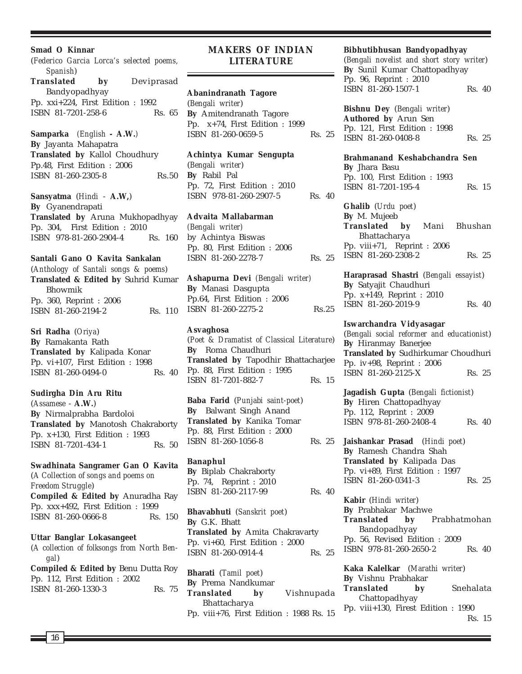**Smad O Kinnar** (*Federico Garcia Lorca's selected poems, Spanish*) **Translated by** Deviprasad Bandyopadhyay Pp. xxi+224, First Edition : 1992 ISBN 81-7201-258-6 Rs. 65 **Samparka** *(English* **- A.W.***)* **By** Jayanta Mahapatra **Translated by** Kallol Choudhury Pp.48, First Edition : 2006 ISBN 81-260-2305-8 Rs.50 **Sansyatma** (*Hindi* - **A.W,**) **By** Gyanendrapati **Translated by** Aruna Mukhopadhyay Pp. 304, First Edition : 2010 ISBN 978-81-260-2904-4 Rs. 160

**Santali Gano O Kavita Sankalan** (*Anthology of Santali songs & poems*) **Translated & Edited by** Suhrid Kumar Bhowmik Pp. 360, Reprint : 2006 ISBN 81-260-2194-2 Rs. 110

**Sri Radha** (*Oriya*) **By** Ramakanta Rath **Translated by** Kalipada Konar Pp. vi+107, First Edition : 1998 ISBN 81-260-0494-0 Rs. 40

## **Sudirgha Din Aru Ritu** (*Assamese* - **A.W.**) **By** Nirmalprabha Bardoloi **Translated by** Manotosh Chakraborty Pp. x+130, First Edition : 1993

**Swadhinata Sangramer Gan O Kavita** (*A Collection of songs and poems on Freedom Struggle*) **Compiled & Edited by** Anuradha Ray Pp. xxx+492, First Edition : 1999 ISBN 81-260-0666-8 Rs. 150

ISBN 81-7201-434-1 Rs. 50

## **Uttar Banglar Lokasangeet**

(*A collection of folksongs from North Bengal*)

| <b>Compiled &amp; Edited by Benu Dutta Roy</b> |        |  |
|------------------------------------------------|--------|--|
| Pp. 112, First Edition : 2002                  |        |  |
| ISBN 81-260-1330-3                             | Rs. 75 |  |

## **MAKERS OF INDIAN LITERATURE**

### **Abanindranath Tagore**

(*Bengali writer*) **By** Amitendranath Tagore Pp. x+74, First Edition : 1999 ISBN 81-260-0659-5 Rs. 25

#### **Achintya Kumar Sengupta**

(*Bengali writer*) **By** Rabil Pal Pp. 72, First Edition : 2010 ISBN 978-81-260-2907-5 Rs. 40

## **Advaita Mallabarman**

*(Bengali writer)* by Achintya Biswas Pp. 80, First Edition : 2006 ISBN 81-260-2278-7 Rs. 25

**Ashapurna Devi** *(Bengali writer)* **By** Manasi Dasgupta Pp.64, First Edition : 2006 ISBN 81-260-2275-2 Rs.25

#### **Asvaghosa**

(*Poet & Dramatist of Classical Literature*) **By** Roma Chaudhuri **Translated by** Tapodhir Bhattacharjee Pp. 88, First Edition : 1995 ISBN 81-7201-882-7 Rs. 15

**Baba Farid** (*Punjabi saint-poet*) **By** Balwant Singh Anand **Translated by** Kanika Tomar Pp. 88, First Edition : 2000 ISBN 81-260-1056-8 Rs. 25

**Banaphul By** Biplab Chakraborty Pp. 74, Reprint : 2010 ISBN 81-260-2117-99 Rs. 40

**Bhavabhuti** (*Sanskrit poet*) **By** G.K. Bhatt **Translated by** Amita Chakravarty Pp. vi+60, First Edition : 2000 ISBN 81-260-0914-4 Rs. 25

**Bharati** (*Tamil poet*) **By** Prema Nandkumar **Translated by** Vishnupada Bhattacharya Pp. viii+76, First Edition : 1988 Rs. 15

### **Bibhutibhusan Bandyopadhyay**

(*Bengali novelist and short story writer*) **By** Sunil Kumar Chattopadhyay Pp. 96, Reprint : 2010 ISBN 81-260-1507-1 Rs. 40

**Bishnu Dey** (*Bengali writer*) **Authored by** Arun Sen Pp. 121, First Edition : 1998 ISBN 81-260-0408-8 Rs. 25

### **Brahmanand Keshabchandra Sen**

**By** Jhara Basu Pp. 100, First Edition : 1993 ISBN 81-7201-195-4 Rs. 15

**Ghalib** (*Urdu poet*) **By** M. Mujeeb **Translated by** Mani Bhushan Bhattacharya Pp. viii+71, Reprint : 2006 ISBN 81-260-2308-2 Rs. 25

**Haraprasad Shastri** (*Bengali essayist*) **By** Satyajit Chaudhuri Pp. x+149, Reprint : 2010 ISBN 81-260-2019-9 Rs. 40

#### **Iswarchandra Vidyasagar**

(*Bengali social reformer and educationist*) **By** Hiranmay Banerjee **Translated by** Sudhirkumar Choudhuri Pp. iv+98, Reprint : 2006 ISBN 81-260-2125-X Rs. 25

**Jagadish Gupta** (*Bengali fictionist*) **By** Hiren Chattopadhyay Pp. 112, Reprint : 2009 ISBN 978-81-260-2408-4 Rs. 40

**Jaishankar Prasad** (*Hindi poet*) **By** Ramesh Chandra Shah **Translated by** Kalipada Das Pp. vi+89, First Edition : 1997 ISBN 81-260-0341-3 Rs. 25

**Kabir** (*Hindi writer*) **By** Prabhakar Machwe **Translated by** Prabhatmohan Bandopadhyay Pp. 56, Revised Edition : 2009 ISBN 978-81-260-2650-2 Rs. 40

**Kaka Kalelkar** (*Marathi writer*) **By** Vishnu Prabhakar **Translated by** Snehalata Chattopadhyay Pp. viii+130, Firest Edition : 1990 Rs. 15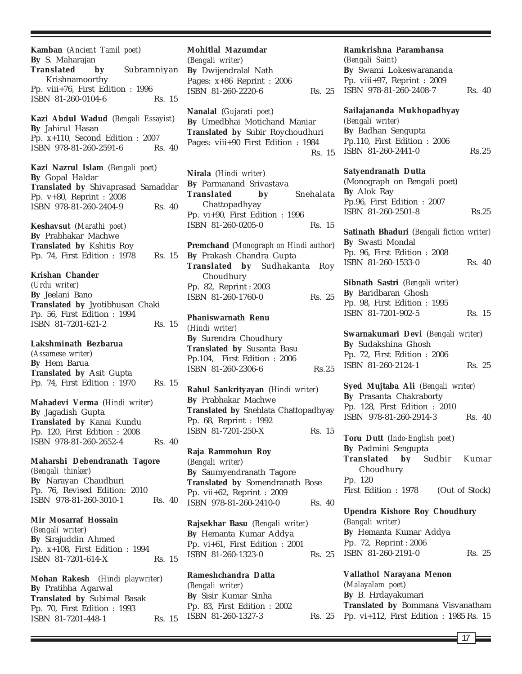**Kamban** (*Ancient Tamil poet*) **By** S. Maharajan **Translated by** Subramniyan Krishnamoorthy Pp. viii+76, First Edition : 1996 ISBN 81-260-0104-6 Rs. 15

**Kazi Abdul Wadud** (*Bengali Essayist*) **By** Jahirul Hasan Pp. x+110, Second Edition : 2007 ISBN 978-81-260-2591-6 Rs. 40

**Kazi Nazrul Islam** (*Bengali poet*) **By** Gopal Haldar **Translated by** Shivaprasad Samaddar Pp. v+80, Reprint : 2008 ISBN 978-81-260-2404-9 Rs. 40

**Keshavsut** (*Marathi poet*) **By** Prabhakar Machwe **Translated by** Kshitis Roy Pp. 74, First Edition : 1978 Rs. 15

**Krishan Chander** (*Urdu writer*) **By** Jeelani Bano **Translated by** Jyotibhusan Chaki Pp. 56, First Edition : 1994 ISBN 81-7201-621-2 Rs. 15

**Lakshminath Bezbarua** (*Assamese writer*) **By** Hem Barua **Translated by** Asit Gupta Pp. 74, First Edition : 1970 Rs. 15

**Mahadevi Verma** (*Hindi writer*) **By** Jagadish Gupta **Translated by** Kanai Kundu Pp. 120, First Edition : 2008 ISBN 978-81-260-2652-4 Rs. 40

**Maharshi Debendranath Tagore** (*Bengali thinker*) **By** Narayan Chaudhuri Pp. 76, Revised Edition: 2010 ISBN 978-81-260-3010-1 Rs. 40

**Mir Mosarraf Hossain** (*Bengali writer*) **By** Sirajuddin Ahmed Pp. x+108, First Edition : 1994 ISBN 81-7201-614-X Rs. 15

**Mohan Rakesh** (*Hindi playwriter*) **By** Pratibha Agarwal **Translated by** Subimal Basak Pp. 70, First Edition : 1993 ISBN 81-7201-448-1 Rs. 15

**Mohitlal Mazumdar** (*Bengali writer*) **By** Dwijendralal Nath Pages: x+86 Reprint : 2006 ISBN 81-260-2220-6 Rs. 25

**Nanalal** (*Gujarati poet*) **By** Umedbhai Motichand Maniar **Translated by** Subir Roychoudhuri Pages: viii+90 First Edition : 1984 Rs. 15

**Nirala** (*Hindi writer*) **By** Parmanand Srivastava **Translated by** Snehalata Chattopadhyay Pp. vi+90, First Edition : 1996 ISBN 81-260-0205-0 Rs. 15

**Premchand** (*Monograph on Hindi author*) **By** Prakash Chandra Gupta **Translated by** Sudhakanta Roy Choudhury Pp. 82, Reprint : 2003 ISBN 81-260-1760-0 Rs. 25

**Phaniswarnath Renu** *(Hindi writer)* **By** Surendra Choudhury **Translated by** Susanta Basu Pp.104, First Edition : 2006 ISBN 81-260-2306-6 Rs.25

**Rahul Sankrityayan** (*Hindi writer*) **By** Prabhakar Machwe **Translated by** Snehlata Chattopadhyay Pp. 68, Reprint : 1992 ISBN 81-7201-250-X Rs. 15

**Raja Rammohun Roy** (*Bengali writer*) **By** Saumyendranath Tagore **Translated by** Somendranath Bose Pp. vii+62, Reprint : 2009 ISBN 978-81-260-2410-0 Rs. 40

**Rajsekhar Basu** (*Bengali writer*) **By** Hemanta Kumar Addya Pp. vi+61, First Edition : 2001 ISBN 81-260-1323-0 Rs. 25

**Rameshchandra Datta** (*Bengali writer*) **By** Sisir Kumar Sinha Pp. 83, First Edition : 2002 ISBN 81-260-1327-3

**Ramkrishna Paramhansa**

(*Bengali Saint*) **By** Swami Lokeswarananda Pp. viii+97, Reprint : 2009 ISBN 978-81-260-2408-7 Rs. 40

**Sailajananda Mukhopadhyay** *(Bengali writer)* **By** Badhan Sengupta Pp.110, First Edition : 2006 ISBN 81-260-2441-0 Rs.25

**Satyendranath Dutta** (Monograph on Bengali poet) **By** Alok Ray Pp.96, First Edition : 2007

**Satinath Bhaduri** (*Bengali fiction writer)* **By** Swasti Mondal Pp. 96, First Edition : 2008 ISBN 81-260-1533-0 Rs. 40

ISBN 81-260-2501-8 Rs.25

**Sibnath Sastri** (*Bengali writer*) **By** Baridbaran Ghosh Pp. 98, First Edition : 1995 ISBN 81-7201-902-5 Rs. 15

**Swarnakumari Devi** (*Bengali writer*) **By** Sudakshina Ghosh Pp. 72, First Edition : 2006 ISBN 81-260-2124-1 Rs. 25

**Syed Mujtaba Ali** *(Bengali writer)* **By** Prasanta Chakraborty Pp. 128, First Edition : 2010 ISBN 978-81-260-2914-3 Rs. 40

**Toru Dutt** (*Indo-English poet*) **By** Padmini Sengupta **Translated by** Sudhir Kumar Choudhury Pp. 120 First Edition : 1978 (Out of Stock)

**Upendra Kishore Roy Choudhury** (*Bangali writer*) **By** Hemanta Kumar Addya Pp. 72, Reprint : 2006 ISBN 81-260-2191-0 Rs. 25

**Vallathol Narayana Menon** (*Malayalam poet*) **By** B. Hrdayakumari **Translated by** Bommana Visvanatham Pp. vi+112, First Edition : 1985 Rs. 15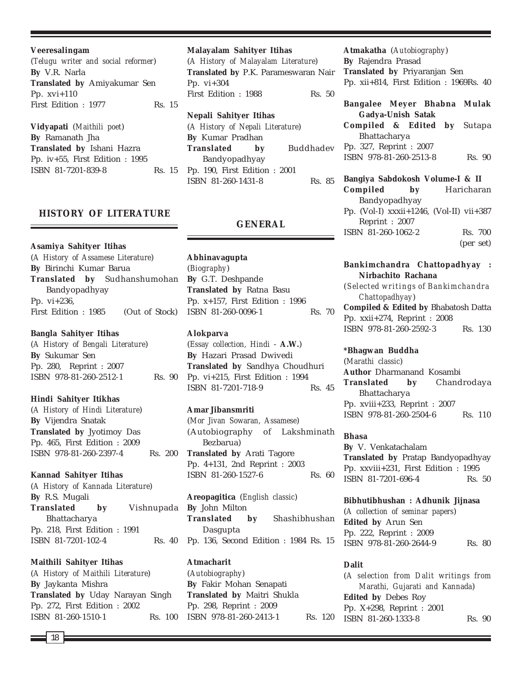**Veeresalingam** (*Telugu writer and social reformer*) **By** V.R. Narla **Translated by** Amiyakumar Sen Pp. xvi+110 First Edition : 1977 Rs. 15

**Vidyapati** (*Maithili poet*) **By** Ramanath Jha **Translated by** Ishani Hazra Pp. iv+55, First Edition : 1995 ISBN 81-7201-839-8 Rs. 15

## **HISTORY OF LITERATURE**

**Asamiya Sahityer Itihas** (*A History of Assamese Literature*) **By** Birinchi Kumar Barua **Translated by** Sudhanshumohan Bandyopadhyay Pp. vi+236, First Edition : 1985 (Out of Stock)

#### **Bangla Sahityer Itihas**

(*A History of Bengali Literature*) **By** Sukumar Sen Pp. 280, Reprint : 2007 ISBN 978-81-260-2512-1 Rs. 90

#### **Hindi Sahityer Itikhas**

(*A History of Hindi Literature*) **By** Vijendra Snatak **Translated by** Jyotimoy Das Pp. 465, First Edition : 2009 ISBN 978-81-260-2397-4 Rs. 200

### **Kannad Sahityer Itihas**

(*A History of Kannada Literature*) **By** R.S. Mugali **Translated by** Vishnupada Bhattacharya Pp. 218, First Edition : 1991 ISBN 81-7201-102-4 Rs. 40

**Maithili Sahityer Itihas** (*A History of Maithili Literature*) **By** Jaykanta Mishra **Translated by** Uday Narayan Singh Pp. 272, First Edition : 2002 ISBN 81-260-1510-1 Rs. 100 **Malayalam Sahityer Itihas** (*A History of Malayalam Literature*) **Translated by** P.K. Parameswaran Nair Pp. vi+304

First Edition : 1988 Rs. 50 **Nepali Sahityer Itihas**

(*A History of Nepali Literature*) **By** Kumar Pradhan **Translated by** Buddhadev Bandyopadhyay Pp. 190, First Edition : 2001 ISBN 81-260-1431-8 Rs. 85

## **GENERAL**

**Abhinavagupta** (*Biography*) **By** G.T. Deshpande **Translated by** Ratna Basu Pp. x+157, First Edition : 1996 ISBN 81-260-0096-1 Rs. 70

## **Alokparva**

(*Essay collection, Hindi* - **A.W.**) **By** Hazari Prasad Dwivedi **Translated by** Sandhya Choudhuri Pp. vi+215, First Edition : 1994 ISBN 81-7201-718-9 Rs. 45

#### **Amar Jibansmriti**

(*Mor Jivan Sowaran, Assamese*) (Autobiography of Lakshminath Bezbarua) **Translated by** Arati Tagore Pp. 4+131, 2nd Reprint : 2003 ISBN 81-260-1527-6 Rs. 60

**Areopagitica** (*English classic*) **By** John Milton **Translated by** Shashibhushan Dasgupta Pp. 136, Second Edition : 1984 Rs. 15

## **Atmacharit** (*Autobiography*)

**By** Fakir Mohan Senapati **Translated by** Maitri Shukla Pp. 298, Reprint : 2009 ISBN 978-81-260-2413-1 Rs. 120 **Atmakatha** (*Autobiography*) **By** Rajendra Prasad **Translated by** Priyaranjan Sen Pp. xii+814, First Edition : 1969Rs. 40

**Bangalee Meyer Bhabna Mulak Gadya-Unish Satak Compiled & Edited by** Sutapa Bhattacharya

Pp. 327, Reprint : 2007 ISBN 978-81-260-2513-8 Rs. 90

**Bangiya Sabdokosh Volume-I & II Compiled by** Haricharan Bandyopadhyay Pp. (Vol-I) xxxii+1246, (Vol-II) vii+387 Reprint : 2007 ISBN 81-260-1062-2 Rs. 700 (per set)

## **Bankimchandra Chattopadhyay : Nirbachito Rachana**

(*Selected writings of Bankimchandra Chattopadhyay*) **Compiled & Edited by** Bhabatosh Datta Pp. xxii+274, Reprint : 2008 ISBN 978-81-260-2592-3 Rs. 130

## **\*Bhagwan Buddha**

(*Marathi classic*) **Author** Dharmanand Kosambi **Translated by** Chandrodaya Bhattacharya Pp. xviii+233, Reprint : 2007 ISBN 978-81-260-2504-6 Rs. 110

### **Bhasa**

**By** V. Venkatachalam **Translated by** Pratap Bandyopadhyay Pp. xxviii+231, First Edition : 1995 ISBN 81-7201-696-4 Rs. 50

**Bibhutibhushan : Adhunik Jijnasa** (*A collection of seminar papers*) **Edited by** Arun Sen Pp. 222, Reprint : 2009 ISBN 978-81-260-2644-9 Rs. 80

### **Dalit**

(*A selection from Dalit writings from Marathi, Gujarati and Kannada*) **Edited by** Debes Roy Pp. X+298, Reprint : 2001 ISBN 81-260-1333-8 Rs. 90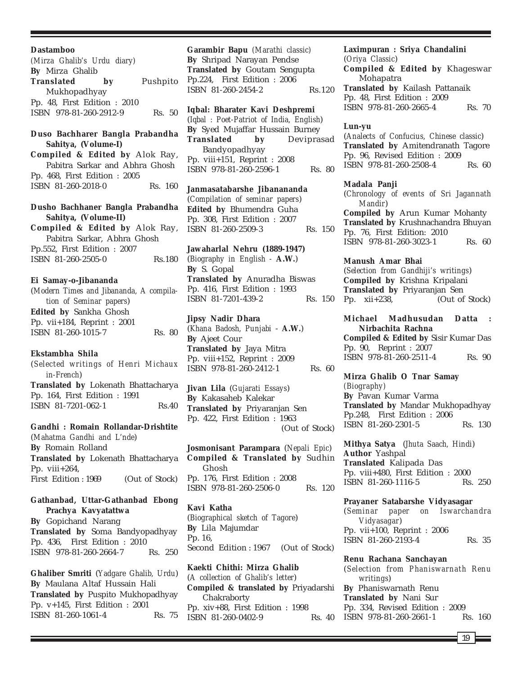#### **Dastamboo**

*(Mirza Ghalib's Urdu diary)* **By** Mirza Ghalib **Translated by** Pushpito Mukhopadhyay Pp. 48, First Edition : 2010 ISBN 978-81-260-2912-9 Rs. 50

**Duso Bachharer Bangla Prabandha Sahitya, (Volume-I)**

**Compiled & Edited by** Alok Ray, Pabitra Sarkar and Abhra Ghosh Pp. 468, First Edition : 2005 ISBN 81-260-2018-0 Rs. 160

**Dusho Bachhaner Bangla Prabandha Sahitya, (Volume-II) Compiled & Edited by** Alok Ray, Pabitra Sarkar, Abhra Ghosh Pp.552, First Edition : 2007 ISBN 81-260-2505-0 Rs.180

#### **Ei Samay-o-Jibananda**

(*Modern Times and Jibananda, A compilation of Seminar papers*) **Edited by** Sankha Ghosh Pp. vii+184, Reprint : 2001 ISBN 81-260-1015-7 Rs. 80

#### **Ekstambha Shila**

(*Selected writings of Henri Michaux in-French*) **Translated by** Lokenath Bhattacharya Pp. 164, First Edition : 1991 ISBN 81-7201-062-1 Rs.40

#### **Gandhi : Romain Rollandar-Drishtite**

(*Mahatma Gandhi and L'nde*) **By** Romain Rolland **Translated by** Lokenath Bhattacharya Pp. viii $+264$ , First Edition : 1969 (Out of Stock)

## **Gathanbad, Uttar-Gathanbad Ebong Prachya Kavyatattwa**

**By** Gopichand Narang **Translated by** Soma Bandyopadhyay Pp. 436, First Edition : 2010 ISBN 978-81-260-2664-7 Rs. 250

**Ghaliber Smriti** (*Yadgare Ghalib, Urdu*) **By** Maulana Altaf Hussain Hali **Translated by** Puspito Mukhopadhyay Pp. v+145, First Edition : 2001 ISBN 81-260-1061-4 Rs. 75

**Garambir Bapu** *(Marathi classic)* **By** Shripad Narayan Pendse **Translated by** Goutam Sengupta Pp.224, First Edition : 2006 ISBN 81-260-2454-2 Rs.120

## **Iqbal: Bharater Kavi Deshpremi**

(*Iqbal : Poet-Patriot of India, English*) **By** Syed Mujaffar Hussain Burney **Translated by** Deviprasad Bandyopadhyay Pp. viii+151, Reprint : 2008 ISBN 978-81-260-2596-1 Rs. 80

**Janmasatabarshe Jibanananda** (*Compilation of seminar papers*) **Edited by** Bhumendra Guha Pp. 308, First Edition : 2007 ISBN 81-260-2509-3 Rs. 150

## **Jawaharlal Nehru (1889-1947)** (*Biography in English -* **A.W.**) **By** S. Gopal

**Translated by** Anuradha Biswas Pp. 416, First Edition : 1993 ISBN 81-7201-439-2 Rs. 150

## **Jipsy Nadir Dhara**

(*Khana Badosh, Punjabi* - **A.W.**) **By** Ajeet Cour **Translated by** Jaya Mitra Pp. viii+152, Reprint : 2009 ISBN 978-81-260-2412-1 Rs. 60

**Jivan Lila** (*Gujarati Essays*) **By** Kakasaheb Kalekar **Translated by** Priyaranjan Sen Pp. 422, First Edition : 1963 (Out of Stock)

**Josmonisant Parampara** (*Nepali Epic*) **Compiled & Translated by** Sudhin Ghosh Pp. 176, First Edition : 2008 ISBN 978-81-260-2506-0 Rs. 120

## **Kavi Katha**

(*Biographical sketch of Tagore*) **By** Lila Majumdar Pp. 16, Second Edition : 1967 (Out of Stock)

**Kaekti Chithi: Mirza Ghalib** (*A collection of Ghalib's letter*) **Compiled & translated by** Priyadarshi Chakraborty Pp. xiv+88, First Edition : 1998 ISBN 81-260-0402-9 Rs. 40

#### **Laximpuran : Sriya Chandalini** (*Oriya Classic*)

**Compiled & Edited by** Khageswar Mohapatra **Translated by** Kailash Pattanaik Pp. 48, First Edition : 2009 ISBN 978-81-260-2665-4 Rs. 70

#### **Lun-yu**

(*Analects of Confucius, Chinese classic*) **Translated by** Amitendranath Tagore Pp. 96, Revised Edition : 2009 ISBN 978-81-260-2508-4 Rs. 60

#### **Madala Panji**

(*Chronology of events of Sri Jagannath Mandir*) **Compiled by** Arun Kumar Mohanty **Translated by** Krushnachandra Bhuyan Pp. 76, First Edition: 2010 ISBN 978-81-260-3023-1 Rs. 60

### **Manush Amar Bhai**

(*Selection from Gandhiji's writings*) **Compiled by** Krishna Kripalani **Translated by** Priyaranjan Sen Pp. xii+238, (Out of Stock)

## **Michael Madhusudan Datta : Nirbachita Rachna**

**Compiled & Edited by** Sisir Kumar Das Pp. 90, Reprint : 2007 ISBN 978-81-260-2511-4 Rs. 90

#### **Mirza Ghalib O Tnar Samay** *(Biography)*

**By** Pavan Kumar Varma **Translated by** Mandar Mukhopadhyay Pp.248, First Edition : 2006 ISBN 81-260-2301-5 Rs. 130

**Mithya Satya** (*Jhuta Saach, Hindi*) **Author** Yashpal **Translated** Kalipada Das Pp. viii+480, First Edition : 2000 ISBN 81-260-1116-5 Rs. 250

#### **Prayaner Satabarshe Vidyasagar**

(*Seminar paper on Iswarchandra Vidyasagar*) Pp. vii+100, Reprint : 2006 ISBN 81-260-2193-4 Rs. 35

#### **Renu Rachana Sanchayan**

(*Selection from Phaniswarnath Renu writings*) **By** Phaniswarnath Renu **Translated by** Nani Sur Pp. 334, Revised Edition : 2009 ISBN 978-81-260-2661-1 Rs. 160